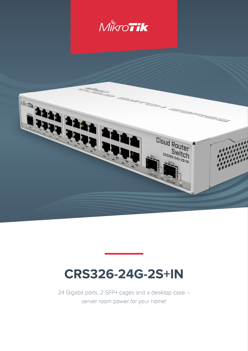



# **CRS326-24G-2S+IN**

24 Gigabit ports, 2 SFP+ cages and a desktop case – server room power for your home!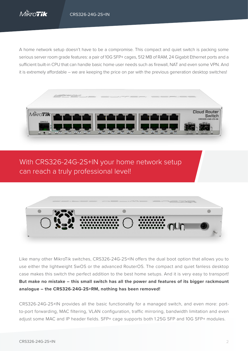A home network setup doesn't have to be a compromise. This compact and quiet switch is packing some serious server room grade features: a pair of 10G SFP+ cages, 512 MB of RAM, 24 Gigabit Ethernet ports and a sufficient built-in CPU that can handle basic home user needs such as firewall, NAT and even some VPN. And it is extremely affordable – we are keeping the price on par with the previous generation desktop switches!



With CRS326-24G-2S+IN your home network setup can reach a truly professional level!



Like many other MikroTik switches, CRS326-24G-2S+IN offers the dual boot option that allows you to use either the lightweight SwOS or the advanced RouterOS. The compact and quiet fanless desktop case makes this switch the perfect addition to the best home setups. And it is very easy to transport! **But make no mistake – this small switch has all the power and features of its bigger rackmount analogue – the CRS326-24G-2S+RM, nothing has been removed!**

CRS326-24G-2S+IN provides all the basic functionality for a managed switch, and even more: portto-port forwarding, MAC filtering, VLAN configuration, traffic mirroring, bandwidth limitation and even adjust some MAC and IP header fields. SFP+ cage supports both 1.25G SFP and 10G SFP+ modules.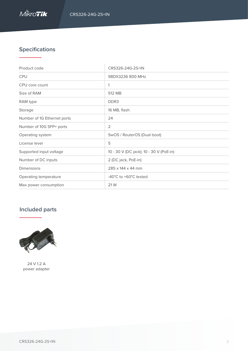

## **Specifications**

| Product code                | CRS326-24G-2S+IN                        |
|-----------------------------|-----------------------------------------|
| <b>CPU</b>                  | 98DX3236 800 MHz                        |
| CPU core count              | 1                                       |
| Size of RAM                 | 512 MB                                  |
| RAM type                    | DDR <sub>3</sub>                        |
| Storage                     | 16 MB, flash                            |
| Number of 1G Ethernet ports | 24                                      |
| Number of 10G SFP+ ports    | $\overline{2}$                          |
| Operating system            | SwOS / RouterOS (Dual boot)             |
| License level               | 5                                       |
| Supported input voltage     | 10 - 30 V (DC jack); 10 - 30 V (PoE-in) |
| Number of DC inputs         | 2 (DC jack, PoE-in)                     |
| <b>Dimensions</b>           | 285 x 144 x 44 mm                       |
| Operating temperature       | -40°C to +60°C tested                   |
| Max power consumption       | 21 W                                    |

## **Included parts**



24 V 1.2 A power adapter